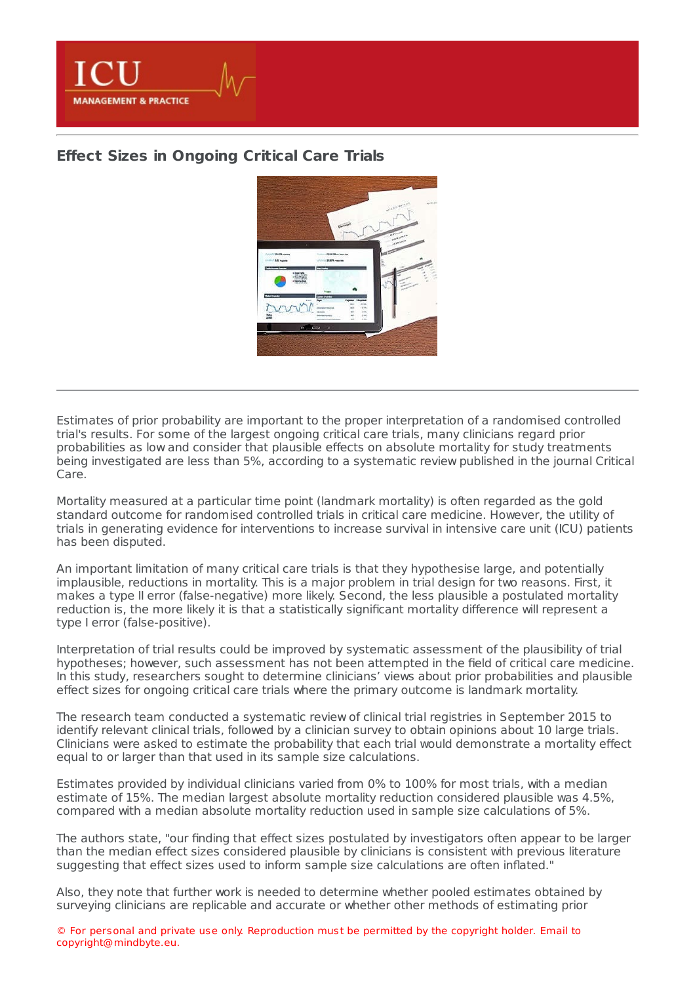

## **Effect Sizes in [Ongoing](https://healthmanagement.org/s/effect-sizes-in-ongoing-critical-care-trials) Critical Care Trials**



Estimates of prior probability are important to the proper interpretation of a randomised controlled trial's results. For some of the largest ongoing critical care trials, many clinicians regard prior probabilities as low and consider that plausible effects on absolute mortality for study treatments being investigated are less than 5%, according to a systematic review published in the journal Critical Care.

Mortality measured at a particular time point (landmark mortality) is often regarded as the gold standard outcome for randomised controlled trials in critical care medicine. However, the utility of trials in generating evidence for interventions to increase survival in intensive care unit (ICU) patients has been disputed.

An important limitation of many critical care trials is that they hypothesise large, and potentially implausible, reductions in mortality. This is a major problem in trial design for two reasons. First, it makes a type II error (false-negative) more likely. Second, the less plausible a postulated mortality reduction is, the more likely it is that a statistically significant mortality difference will represent a type I error (false-positive).

Interpretation of trial results could be improved by systematic assessment of the plausibility of trial hypotheses; however, such assessment has not been attempted in the field of critical care medicine. In this study, researchers sought to determine clinicians' views about prior probabilities and plausible effect sizes for ongoing critical care trials where the primary outcome is landmark mortality.

The research team conducted a systematic review of clinical trial registries in September 2015 to identify relevant clinical trials, followed by a clinician survey to obtain opinions about 10 large trials. Clinicians were asked to estimate the probability that each trial would demonstrate a mortality effect equal to or larger than that used in its sample size calculations.

Estimates provided by individual clinicians varied from 0% to 100% for most trials, with a median estimate of 15%. The median largest absolute mortality reduction considered plausible was 4.5%, compared with a median absolute mortality reduction used in sample size calculations of 5%.

The authors state, "our finding that effect sizes postulated by investigators often appear to be larger than the median effect sizes considered plausible by clinicians is consistent with previous literature suggesting that effect sizes used to inform sample size calculations are often inflated."

Also, they note that further work is needed to determine whether pooled estimates obtained by surveying clinicians are replicable and accurate or whether other methods of estimating prior

© For personal and private use only. Reproduction must be permitted by the copyright holder. Email to copyright@mindbyte.eu.